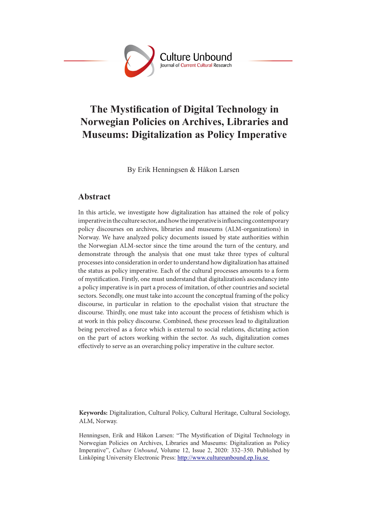

# **The Mystification of Digital Technology in Norwegian Policies on Archives, Libraries and Museums: Digitalization as Policy Imperative**

By Erik Henningsen & Håkon Larsen

## **Abstract**

In this article, we investigate how digitalization has attained the role of policy imperative in the culture sector, and how the imperative is influencing contemporary policy discourses on archives, libraries and museums (ALM-organizations) in Norway. We have analyzed policy documents issued by state authorities within the Norwegian ALM-sector since the time around the turn of the century, and demonstrate through the analysis that one must take three types of cultural processes into consideration in order to understand how digitalization has attained the status as policy imperative. Each of the cultural processes amounts to a form of mystification. Firstly, one must understand that digitalization's ascendancy into a policy imperative is in part a process of imitation, of other countries and societal sectors. Secondly, one must take into account the conceptual framing of the policy discourse, in particular in relation to the epochalist vision that structure the discourse. Thirdly, one must take into account the process of fetishism which is at work in this policy discourse. Combined, these processes lead to digitalization being perceived as a force which is external to social relations, dictating action on the part of actors working within the sector. As such, digitalization comes effectively to serve as an overarching policy imperative in the culture sector.

**Keywords:** Digitalization, Cultural Policy, Cultural Heritage, Cultural Sociology, ALM, Norway.

Henningsen, Erik and Håkon Larsen: "The Mystification of Digital Technology in Norwegian Policies on Archives, Libraries and Museums: Digitalization as Policy Imperative", *Culture Unbound*, Volume 12, Issue 2, 2020: 332–350. Published by Linköping University Electronic Press: http://www.cultureunbound.ep.liu.se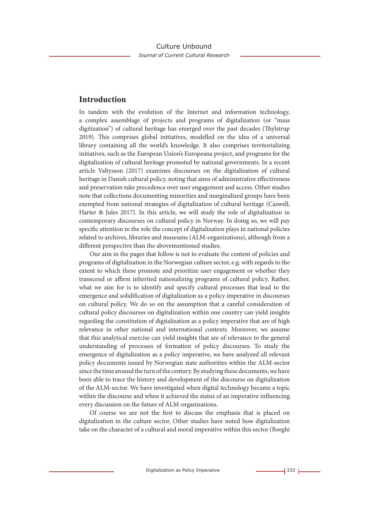### **Introduction**

In tandem with the evolution of the Internet and information technology, a complex assemblage of projects and programs of digitalization (or "mass digitization") of cultural heritage has emerged over the past decades (Thylstrup 2019). This comprises global initiatives, modelled on the idea of a universal library containing all the world's knowledge. It also comprises territorializing initiatives, such as the European Union's Europeana project, and programs for the digitalization of cultural heritage promoted by national governments. In a recent article Valtysson (2017) examines discourses on the digitalization of cultural heritage in Danish cultural policy, noting that aims of administrative effectiveness and preservation take precedence over user engagement and access. Other studies note that collections documenting minorities and marginalized groups have been exempted from national strategies of digitalization of cultural heritage (Caswell, Harter & Jules 2017). In this article, we will study the role of digitalization in contemporary discourses on cultural policy in Norway. In doing so, we will pay specific attention to the role the concept of digitalization plays in national policies related to archives, libraries and museums (ALM-organizations), although from a different perspective than the abovementioned studies.

Our aim in the pages that follow is not to evaluate the content of policies and programs of digitalization in the Norwegian culture sector, e.g. with regards to the extent to which these promote and prioritize user engagement or whether they transcend or affirm inherited nationalizing programs of cultural policy. Rather, what we aim for is to identify and specify cultural processes that lead to the emergence and solidification of digitalization as a policy imperative in discourses on cultural policy. We do so on the assumption that a careful consideration of cultural policy discourses on digitalization within one country can yield insights regarding the constitution of digitalization as a policy imperative that are of high relevance in other national and international contexts. Moreover, we assume that this analytical exercise can yield insights that are of relevance to the general understanding of processes of formation of policy discourses. To study the emergence of digitalization as a policy imperative, we have analyzed all relevant policy documents issued by Norwegian state authorities within the ALM-sector since the time around the turn of the century. By studying these documents, we have been able to trace the history and development of the discourse on digitalization of the ALM-sector. We have investigated when digital technology became a topic within the discourse and when it achieved the status of an imperative influencing every discussion on the future of ALM-organizations.

Of course we are not the first to discuss the emphasis that is placed on digitalization in the culture sector. Other studies have noted how digitalization take on the character of a cultural and moral imperative within this sector (Borghi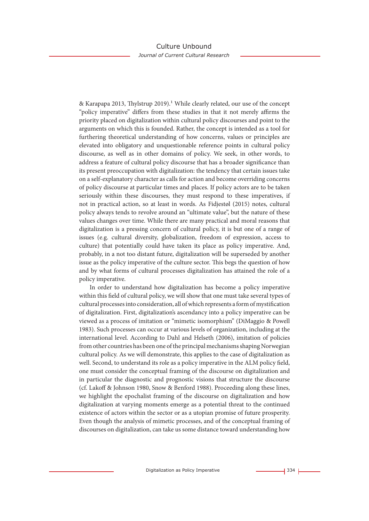& Karapapa 2013, Thylstrup 2019).<sup>1</sup> While clearly related, our use of the concept "policy imperative" differs from these studies in that it not merely affirms the priority placed on digitalization within cultural policy discourses and point to the arguments on which this is founded. Rather, the concept is intended as a tool for furthering theoretical understanding of how concerns, values or principles are elevated into obligatory and unquestionable reference points in cultural policy discourse, as well as in other domains of policy. We seek, in other words, to address a feature of cultural policy discourse that has a broader significance than its present preoccupation with digitalization: the tendency that certain issues take on a self-explanatory character as calls for action and become overriding concerns of policy discourse at particular times and places. If policy actors are to be taken seriously within these discourses, they must respond to these imperatives, if not in practical action, so at least in words. As Fidjestøl (2015) notes, cultural policy always tends to revolve around an "ultimate value", but the nature of these values changes over time. While there are many practical and moral reasons that digitalization is a pressing concern of cultural policy, it is but one of a range of issues (e.g. cultural diversity, globalization, freedom of expression, access to culture) that potentially could have taken its place as policy imperative. And, probably, in a not too distant future, digitalization will be superseded by another issue as the policy imperative of the culture sector. This begs the question of how and by what forms of cultural processes digitalization has attained the role of a policy imperative.

In order to understand how digitalization has become a policy imperative within this field of cultural policy, we will show that one must take several types of cultural processes into consideration, all of which represents a form of mystification of digitalization. First, digitalization's ascendancy into a policy imperative can be viewed as a process of imitation or "mimetic isomorphism" (DiMaggio & Powell 1983). Such processes can occur at various levels of organization, including at the international level. According to Dahl and Helseth (2006), imitation of policies from other countries has been one of the principal mechanisms shaping Norwegian cultural policy. As we will demonstrate, this applies to the case of digitalization as well. Second, to understand its role as a policy imperative in the ALM policy field, one must consider the conceptual framing of the discourse on digitalization and in particular the diagnostic and prognostic visions that structure the discourse (cf. Lakoff & Johnson 1980, Snow & Benford 1988). Proceeding along these lines, we highlight the epochalist framing of the discourse on digitalization and how digitalization at varying moments emerge as a potential threat to the continued existence of actors within the sector or as a utopian promise of future prosperity. Even though the analysis of mimetic processes, and of the conceptual framing of discourses on digitalization, can take us some distance toward understanding how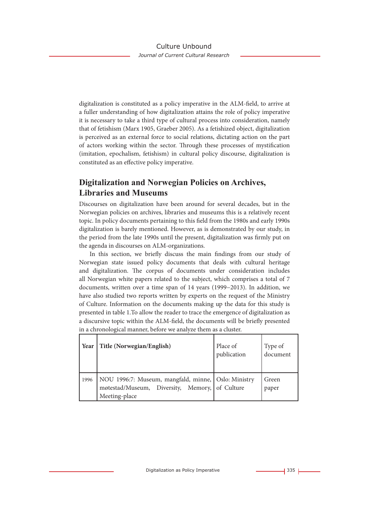digitalization is constituted as a policy imperative in the ALM-field, to arrive at a fuller understanding of how digitalization attains the role of policy imperative it is necessary to take a third type of cultural process into consideration, namely that of fetishism (Marx 1905, Graeber 2005). As a fetishized object, digitalization is perceived as an external force to social relations, dictating action on the part of actors working within the sector. Through these processes of mystification (imitation, epochalism, fetishism) in cultural policy discourse, digitalization is constituted as an effective policy imperative.

# **Digitalization and Norwegian Policies on Archives, Libraries and Museums**

Discourses on digitalization have been around for several decades, but in the Norwegian policies on archives, libraries and museums this is a relatively recent topic. In policy documents pertaining to this field from the 1980s and early 1990s digitalization is barely mentioned. However, as is demonstrated by our study, in the period from the late 1990s until the present, digitalization was firmly put on the agenda in discourses on ALM-organizations.

In this section, we briefly discuss the main findings from our study of Norwegian state issued policy documents that deals with cultural heritage and digitalization. The corpus of documents under consideration includes all Norwegian white papers related to the subject, which comprises a total of 7 documents, written over a time span of 14 years (1999−2013). In addition, we have also studied two reports written by experts on the request of the Ministry of Culture. Information on the documents making up the data for this study is presented in table 1.To allow the reader to trace the emergence of digitalization as a discursive topic within the ALM-field, the documents will be briefly presented in a chronological manner, before we analyze them as a cluster.

| Year | Title (Norwegian/English)                                                                                              | Place of<br>publication | Type of<br>document |
|------|------------------------------------------------------------------------------------------------------------------------|-------------------------|---------------------|
| 1996 | NOU 1996:7: Museum, mangfald, minne, Oslo: Ministry<br>møtestad/Museum, Diversity, Memory, of Culture<br>Meeting-place |                         | Green<br>paper      |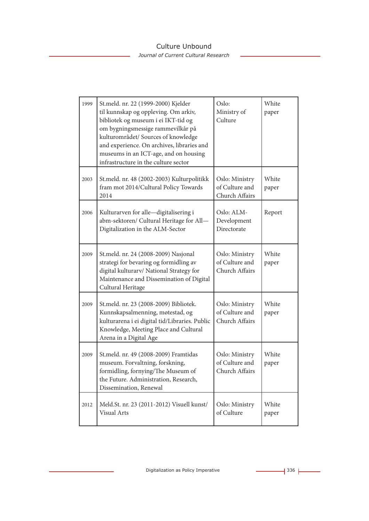*Journal of Current Cultural Research*

| 1999 | St.meld. nr. 22 (1999-2000) Kjelder<br>til kunnskap og oppleving. Om arkiv,<br>bibliotek og museum i ei IKT-tid og<br>om bygningsmessige rammevilkår på<br>kulturområdet/ Sources of knowledge<br>and experience. On archives, libraries and<br>museums in an ICT-age, and on housing<br>infrastructure in the culture sector | Oslo:<br>Ministry of<br>Culture                    | White<br>paper |
|------|-------------------------------------------------------------------------------------------------------------------------------------------------------------------------------------------------------------------------------------------------------------------------------------------------------------------------------|----------------------------------------------------|----------------|
| 2003 | St.meld. nr. 48 (2002-2003) Kulturpolitikk<br>fram mot 2014/Cultural Policy Towards<br>2014                                                                                                                                                                                                                                   | Oslo: Ministry<br>of Culture and<br>Church Affairs | White<br>paper |
| 2006 | Kulturarven for alle-digitalisering i<br>abm-sektoren/ Cultural Heritage for All-<br>Digitalization in the ALM-Sector                                                                                                                                                                                                         | Oslo: ALM-<br>Development<br>Directorate           | Report         |
| 2009 | St.meld. nr. 24 (2008-2009) Nasjonal<br>strategi for bevaring og formidling av<br>digital kulturarv/ National Strategy for<br>Maintenance and Dissemination of Digital<br>Cultural Heritage                                                                                                                                   | Oslo: Ministry<br>of Culture and<br>Church Affairs | White<br>paper |
| 2009 | St.meld. nr. 23 (2008-2009) Bibliotek.<br>Kunnskapsalmenning, møtestad, og<br>kulturarena i ei digital tid/Libraries. Public<br>Knowledge, Meeting Place and Cultural<br>Arena in a Digital Age                                                                                                                               | Oslo: Ministry<br>of Culture and<br>Church Affairs | White<br>paper |
| 2009 | St.meld. nr. 49 (2008-2009) Framtidas<br>museum. Forvaltning, forskning,<br>formidling, fornying/The Museum of<br>the Future. Administration, Research,<br>Dissemination, Renewal                                                                                                                                             | Oslo: Ministry<br>of Culture and<br>Church Affairs | White<br>paper |
| 2012 | Meld.St. nr. 23 (2011-2012) Visuell kunst/<br><b>Visual Arts</b>                                                                                                                                                                                                                                                              | Oslo: Ministry<br>of Culture                       | White<br>paper |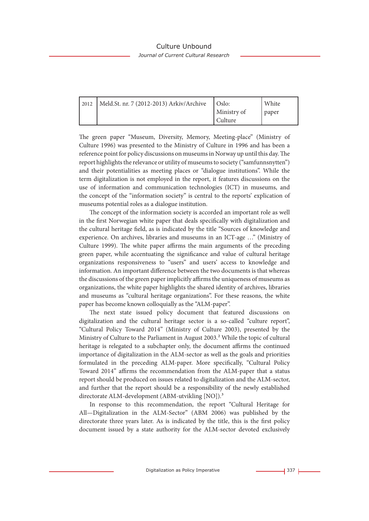*Journal of Current Cultural Research*

| 2012   Meld.St. nr. 7 (2012-2013) Arkiv/Archive | $\cup$ Oslo: | White |
|-------------------------------------------------|--------------|-------|
|                                                 | Ministry of  | paper |
|                                                 | Culture      |       |

The green paper "Museum, Diversity, Memory, Meeting-place" (Ministry of Culture 1996) was presented to the Ministry of Culture in 1996 and has been a reference point for policy discussions on museums in Norway up until this day. The report highlights the relevance or utility of museums to society ("samfunnsnytten") and their potentialities as meeting places or "dialogue institutions". While the term digitalization is not employed in the report, it features discussions on the use of information and communication technologies (ICT) in museums, and the concept of the "information society" is central to the reports' explication of museums potential roles as a dialogue institution.

The concept of the information society is accorded an important role as well in the first Norwegian white paper that deals specifically with digitalization and the cultural heritage field, as is indicated by the title "Sources of knowledge and experience. On archives, libraries and museums in an ICT-age …" (Ministry of Culture 1999). The white paper affirms the main arguments of the preceding green paper, while accentuating the significance and value of cultural heritage organizations responsiveness to "users" and users' access to knowledge and information. An important difference between the two documents is that whereas the discussions of the green paper implicitly affirms the uniqueness of museums as organizations, the white paper highlights the shared identity of archives, libraries and museums as "cultural heritage organizations". For these reasons, the white paper has become known colloquially as the "ALM-paper".

The next state issued policy document that featured discussions on digitalization and the cultural heritage sector is a so-called "culture report", "Cultural Policy Toward 2014" (Ministry of Culture 2003), presented by the Ministry of Culture to the Parliament in August 2003.<sup>2</sup> While the topic of cultural heritage is relegated to a subchapter only, the document affirms the continued importance of digitalization in the ALM-sector as well as the goals and priorities formulated in the preceding ALM-paper. More specifically, "Cultural Policy Toward 2014" affirms the recommendation from the ALM-paper that a status report should be produced on issues related to digitalization and the ALM-sector, and further that the report should be a responsibility of the newly established directorate ALM-development (ABM-utvikling [NO]).<sup>3</sup>

In response to this recommendation, the report "Cultural Heritage for All—Digitalization in the ALM-Sector" (ABM 2006) was published by the directorate three years later. As is indicated by the title, this is the first policy document issued by a state authority for the ALM-sector devoted exclusively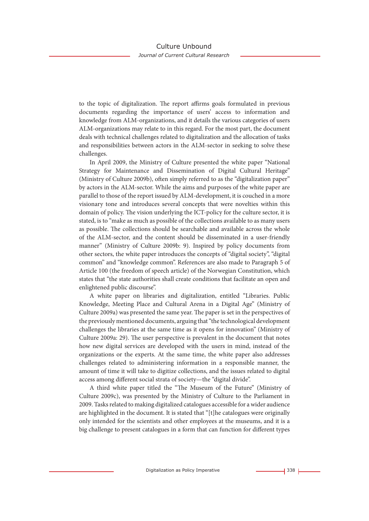to the topic of digitalization. The report affirms goals formulated in previous documents regarding the importance of users' access to information and knowledge from ALM-organizations, and it details the various categories of users ALM-organizations may relate to in this regard. For the most part, the document deals with technical challenges related to digitalization and the allocation of tasks and responsibilities between actors in the ALM-sector in seeking to solve these challenges.

In April 2009, the Ministry of Culture presented the white paper "National Strategy for Maintenance and Dissemination of Digital Cultural Heritage" (Ministry of Culture 2009b), often simply referred to as the "digitalization paper" by actors in the ALM-sector. While the aims and purposes of the white paper are parallel to those of the report issued by ALM-development, it is couched in a more visionary tone and introduces several concepts that were novelties within this domain of policy. The vision underlying the ICT-policy for the culture sector, it is stated, is to "make as much as possible of the collections available to as many users as possible. The collections should be searchable and available across the whole of the ALM-sector, and the content should be disseminated in a user-friendly manner" (Ministry of Culture 2009b: 9). Inspired by policy documents from other sectors, the white paper introduces the concepts of "digital society", "digital common" and "knowledge common". References are also made to Paragraph 5 of Article 100 (the freedom of speech article) of the Norwegian Constitution, which states that "the state authorities shall create conditions that facilitate an open and enlightened public discourse".

A white paper on libraries and digitalization, entitled "Libraries. Public Knowledge, Meeting Place and Cultural Arena in a Digital Age" (Ministry of Culture 2009a) was presented the same year. The paper is set in the perspectives of the previously mentioned documents, arguing that "the technological development challenges the libraries at the same time as it opens for innovation" (Ministry of Culture 2009a: 29). The user perspective is prevalent in the document that notes how new digital services are developed with the users in mind, instead of the organizations or the experts. At the same time, the white paper also addresses challenges related to administering information in a responsible manner, the amount of time it will take to digitize collections, and the issues related to digital access among different social strata of society—the "digital divide".

A third white paper titled the "The Museum of the Future" (Ministry of Culture 2009c), was presented by the Ministry of Culture to the Parliament in 2009. Tasks related to making digitalized catalogues accessible for a wider audience are highlighted in the document. It is stated that "[t]he catalogues were originally only intended for the scientists and other employees at the museums, and it is a big challenge to present catalogues in a form that can function for different types

Digitalization as Policy Imperative **338** L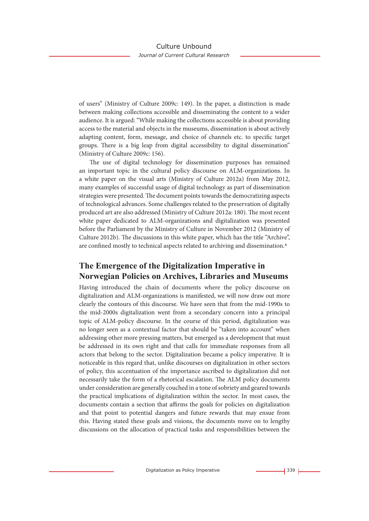of users" (Ministry of Culture 2009c: 149). In the paper, a distinction is made between making collections accessible and disseminating the content to a wider audience. It is argued: "While making the collections accessible is about providing access to the material and objects in the museums, dissemination is about actively adapting content, form, message, and choice of channels etc. to specific target groups. There is a big leap from digital accessibility to digital dissemination" (Ministry of Culture 2009c: 156).

The use of digital technology for dissemination purposes has remained an important topic in the cultural policy discourse on ALM-organizations. In a white paper on the visual arts (Ministry of Culture 2012a) from May 2012, many examples of successful usage of digital technology as part of dissemination strategies were presented. The document points towards the democratizing aspects of technological advances. Some challenges related to the preservation of digitally produced art are also addressed (Ministry of Culture 2012a: 180). The most recent white paper dedicated to ALM-organizations and digitalization was presented before the Parliament by the Ministry of Culture in November 2012 (Ministry of Culture 2012b). The discussions in this white paper, which has the title "Archive", are confined mostly to technical aspects related to archiving and dissemination.4

# **The Emergence of the Digitalization Imperative in Norwegian Policies on Archives, Libraries and Museums**

Having introduced the chain of documents where the policy discourse on digitalization and ALM-organizations is manifested, we will now draw out more clearly the contours of this discourse. We have seen that from the mid-1990s to the mid-2000s digitalization went from a secondary concern into a principal topic of ALM-policy discourse. In the course of this period, digitalization was no longer seen as a contextual factor that should be "taken into account" when addressing other more pressing matters, but emerged as a development that must be addressed in its own right and that calls for immediate responses from all actors that belong to the sector. Digitalization became a policy imperative. It is noticeable in this regard that, unlike discourses on digitalization in other sectors of policy, this accentuation of the importance ascribed to digitalization did not necessarily take the form of a rhetorical escalation. The ALM policy documents under consideration are generally couched in a tone of sobriety and geared towards the practical implications of digitalization within the sector. In most cases, the documents contain a section that affirms the goals for policies on digitalization and that point to potential dangers and future rewards that may ensue from this. Having stated these goals and visions, the documents move on to lengthy discussions on the allocation of practical tasks and responsibilities between the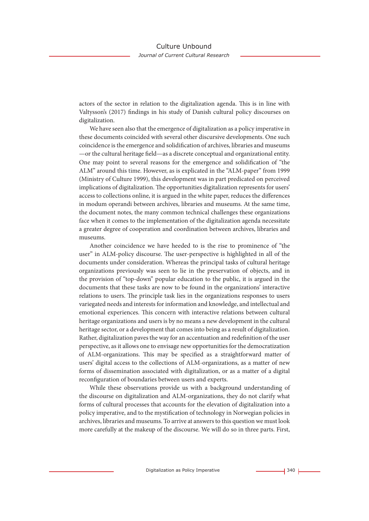actors of the sector in relation to the digitalization agenda. This is in line with Valtysson's (2017) findings in his study of Danish cultural policy discourses on digitalization.

We have seen also that the emergence of digitalization as a policy imperative in these documents coincided with several other discursive developments. One such coincidence is the emergence and solidification of archives, libraries and museums —or the cultural heritage field—as a discrete conceptual and organizational entity. One may point to several reasons for the emergence and solidification of "the ALM" around this time. However, as is explicated in the "ALM-paper" from 1999 (Ministry of Culture 1999), this development was in part predicated on perceived implications of digitalization. The opportunities digitalization represents for users' access to collections online, it is argued in the white paper, reduces the differences in modum operandi between archives, libraries and museums. At the same time, the document notes, the many common technical challenges these organizations face when it comes to the implementation of the digitalization agenda necessitate a greater degree of cooperation and coordination between archives, libraries and museums.

Another coincidence we have heeded to is the rise to prominence of "the user" in ALM-policy discourse. The user-perspective is highlighted in all of the documents under consideration. Whereas the principal tasks of cultural heritage organizations previously was seen to lie in the preservation of objects, and in the provision of "top-down" popular education to the public, it is argued in the documents that these tasks are now to be found in the organizations' interactive relations to users. The principle task lies in the organizations responses to users variegated needs and interests for information and knowledge, and intellectual and emotional experiences. This concern with interactive relations between cultural heritage organizations and users is by no means a new development in the cultural heritage sector, or a development that comes into being as a result of digitalization. Rather, digitalization paves the way for an accentuation and redefinition of the user perspective, as it allows one to envisage new opportunities for the democratization of ALM-organizations. This may be specified as a straightforward matter of users' digital access to the collections of ALM-organizations, as a matter of new forms of dissemination associated with digitalization, or as a matter of a digital reconfiguration of boundaries between users and experts.

While these observations provide us with a background understanding of the discourse on digitalization and ALM-organizations, they do not clarify what forms of cultural processes that accounts for the elevation of digitalization into a policy imperative, and to the mystification of technology in Norwegian policies in archives, libraries and museums. To arrive at answers to this question we must look more carefully at the makeup of the discourse. We will do so in three parts. First,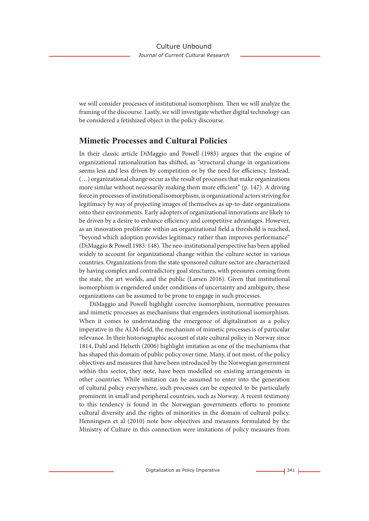we will consider processes of institutional isomorphism. Then we will analyze the framing of the discourse. Lastly, we will investigate whether digital technology can be considered a fetishized object in the policy discourse.

### **Mimetic Processes and Cultural Policies**

In their classic article DiMaggio and Powell (1983) argues that the engine of organizational rationalization has shifted, as "structural change in organizations seems less and less driven by competition or by the need for efficiency. Instead, (…) organizational change occur as the result of processes that make organizations more similar without necessarily making them more efficient" (p. 147). A driving force in processes of institutional isomorphism, is organizational actors striving for legitimacy by way of projecting images of themselves as up-to-date organizations onto their environments. Early adopters of organizational innovations are likely to be driven by a desire to enhance efficiency and competitive advantages. However, as an innovation proliferate within an organizational field a threshold is reached, "beyond which adoption provides legitimacy rather than improves performance" (DiMaggio & Powell 1983: 148). The neo-institutional perspective has been applied widely to account for organizational change within the culture sector in various countries. Organizations from the state sponsored culture sector are characterized by having complex and contradictory goal structures, with pressures coming from the state, the art worlds, and the public (Larsen 2016). Given that institutional isomorphism is engendered under conditions of uncertainty and ambiguity, these organizations can be assumed to be prone to engage in such processes.

DiMaggio and Powell highlight coercive isomorphism, normative pressures and mimetic processes as mechanisms that engenders institutional isomorphism. When it comes to understanding the emergence of digitalization as a policy imperative in the ALM-field, the mechanism of mimetic processes is of particular relevance. In their historiographic account of state cultural policy in Norway since 1814, Dahl and Helseth (2006) highlight imitation as one of the mechanisms that has shaped this domain of public policy over time. Many, if not most, of the policy objectives and measures that have been introduced by the Norwegian government within this sector, they note, have been modelled on existing arrangements in other countries. While imitation can be assumed to enter into the generation of cultural policy everywhere, such processes can be expected to be particularly prominent in small and peripheral countries, such as Norway. A recent testimony to this tendency is found in the Norwegian governments efforts to promote cultural diversity and the rights of minorities in the domain of cultural policy. Henningsen et al (2010) note how objectives and measures formulated by the Ministry of Culture in this connection were imitations of policy measures from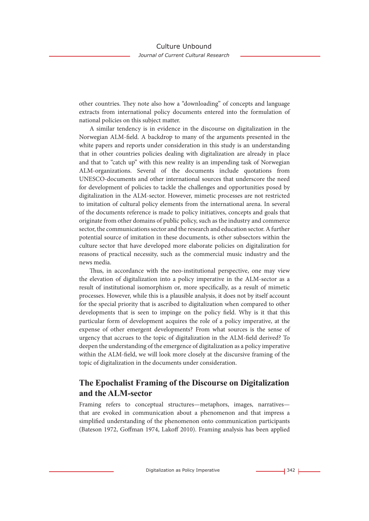other countries. They note also how a "downloading" of concepts and language extracts from international policy documents entered into the formulation of national policies on this subject matter.

A similar tendency is in evidence in the discourse on digitalization in the Norwegian ALM-field. A backdrop to many of the arguments presented in the white papers and reports under consideration in this study is an understanding that in other countries policies dealing with digitalization are already in place and that to "catch up" with this new reality is an impending task of Norwegian ALM-organizations. Several of the documents include quotations from UNESCO-documents and other international sources that underscore the need for development of policies to tackle the challenges and opportunities posed by digitalization in the ALM-sector. However, mimetic processes are not restricted to imitation of cultural policy elements from the international arena. In several of the documents reference is made to policy initiatives, concepts and goals that originate from other domains of public policy, such as the industry and commerce sector, the communications sector and the research and education sector. A further potential source of imitation in these documents, is other subsectors within the culture sector that have developed more elaborate policies on digitalization for reasons of practical necessity, such as the commercial music industry and the news media.

Thus, in accordance with the neo-institutional perspective, one may view the elevation of digitalization into a policy imperative in the ALM-sector as a result of institutional isomorphism or, more specifically, as a result of mimetic processes. However, while this is a plausible analysis, it does not by itself account for the special priority that is ascribed to digitalization when compared to other developments that is seen to impinge on the policy field. Why is it that this particular form of development acquires the role of a policy imperative, at the expense of other emergent developments? From what sources is the sense of urgency that accrues to the topic of digitalization in the ALM-field derived? To deepen the understanding of the emergence of digitalization as a policy imperative within the ALM-field, we will look more closely at the discursive framing of the topic of digitalization in the documents under consideration.

# **The Epochalist Framing of the Discourse on Digitalization and the ALM-sector**

Framing refers to conceptual structures—metaphors, images, narratives that are evoked in communication about a phenomenon and that impress a simplified understanding of the phenomenon onto communication participants (Bateson 1972, Goffman 1974, Lakoff 2010). Framing analysis has been applied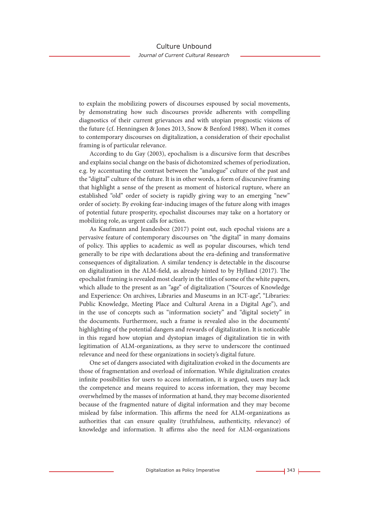to explain the mobilizing powers of discourses espoused by social movements, by demonstrating how such discourses provide adherents with compelling diagnostics of their current grievances and with utopian prognostic visions of the future (cf. Henningsen & Jones 2013, Snow & Benford 1988). When it comes to contemporary discourses on digitalization, a consideration of their epochalist framing is of particular relevance.

According to du Gay (2003), epochalism is a discursive form that describes and explains social change on the basis of dichotomized schemes of periodization, e.g. by accentuating the contrast between the "analogue" culture of the past and the "digital" culture of the future. It is in other words, a form of discursive framing that highlight a sense of the present as moment of historical rupture, where an established "old" order of society is rapidly giving way to an emerging "new" order of society. By evoking fear-inducing images of the future along with images of potential future prosperity, epochalist discourses may take on a hortatory or mobilizing role, as urgent calls for action.

As Kaufmann and Jeandesboz (2017) point out, such epochal visions are a pervasive feature of contemporary discourses on "the digital" in many domains of policy. This applies to academic as well as popular discourses, which tend generally to be ripe with declarations about the era-defining and transformative consequences of digitalization. A similar tendency is detectable in the discourse on digitalization in the ALM-field, as already hinted to by Hylland (2017). The epochalist framing is revealed most clearly in the titles of some of the white papers, which allude to the present as an "age" of digitalization ("Sources of Knowledge and Experience: On archives, Libraries and Museums in an ICT-age", "Libraries: Public Knowledge, Meeting Place and Cultural Arena in a Digital Age"), and in the use of concepts such as "information society" and "digital society" in the documents. Furthermore, such a frame is revealed also in the documents' highlighting of the potential dangers and rewards of digitalization. It is noticeable in this regard how utopian and dystopian images of digitalization tie in with legitimation of ALM-organizations, as they serve to underscore the continued relevance and need for these organizations in society's digital future.

One set of dangers associated with digitalization evoked in the documents are those of fragmentation and overload of information. While digitalization creates infinite possibilities for users to access information, it is argued, users may lack the competence and means required to access information, they may become overwhelmed by the masses of information at hand, they may become disoriented because of the fragmented nature of digital information and they may become mislead by false information. This affirms the need for ALM-organizations as authorities that can ensure quality (truthfulness, authenticity, relevance) of knowledge and information. It affirms also the need for ALM-organizations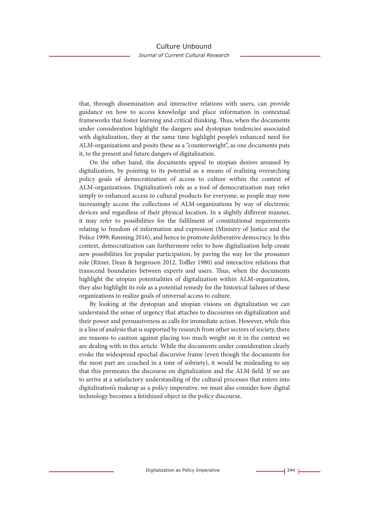that, through dissemination and interactive relations with users, can provide guidance on how to access knowledge and place information in contextual frameworks that foster learning and critical thinking. Thus, when the documents under consideration highlight the dangers and dystopian tendencies associated with digitalization, they at the same time highlight people's enhanced need for ALM-organizations and posits these as a "counterweight", as one documents puts it, to the present and future dangers of digitalization.

On the other hand, the documents appeal to utopian desires aroused by digitalization, by pointing to its potential as a means of realizing overarching policy goals of democratization of access to culture within the context of ALM-organizations. Digitalization's role as a tool of democratization may refer simply to enhanced access to cultural products for everyone, as people may now increasingly access the collections of ALM-organizations by way of electronic devices and regardless of their physical location. In a slightly different manner, it may refer to possibilities for the fulfilment of constitutional requirements relating to freedom of information and expression (Ministry of Justice and the Police 1999; Rønning 2016), and hence to promote deliberative democracy. In this context, democratization can furthermore refer to how digitalization help create new possibilities for popular participation, by paving the way for the prosumer role (Ritzer, Dean & Jurgenson 2012, Toffler 1980) and interactive relations that transcend boundaries between experts and users. Thus, when the documents highlight the utopian potentialities of digitalization within ALM-organization, they also highlight its role as a potential remedy for the historical failures of these organizations to realize goals of universal access to culture.

By looking at the dystopian and utopian visions on digitalization we can understand the sense of urgency that attaches to discourses on digitalization and their power and persuasiveness as calls for immediate action. However, while this is a line of analysis that is supported by research from other sectors of society, there are reasons to caution against placing too much weight on it in the context we are dealing with in this article. While the documents under consideration clearly evoke the widespread epochal discursive frame (even though the documents for the most part are couched in a tone of sobriety), it would be misleading to say that this permeates the discourse on digitalization and the ALM-field. If we are to arrive at a satisfactory understanding of the cultural processes that enters into digitalization's makeup as a policy imperative, we must also consider how digital technology becomes a fetishized object in the policy discourse.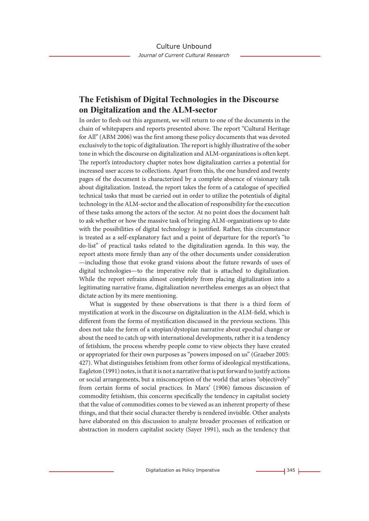## **The Fetishism of Digital Technologies in the Discourse on Digitalization and the ALM-sector**

In order to flesh out this argument, we will return to one of the documents in the chain of whitepapers and reports presented above. The report "Cultural Heritage for All" (ABM 2006) was the first among these policy documents that was devoted exclusively to the topic of digitalization. The report is highly illustrative of the sober tone in which the discourse on digitalization and ALM-organizations is often kept. The report's introductory chapter notes how digitalization carries a potential for increased user access to collections. Apart from this, the one hundred and twenty pages of the document is characterized by a complete absence of visionary talk about digitalization. Instead, the report takes the form of a catalogue of specified technical tasks that must be carried out in order to utilize the potentials of digital technology in the ALM-sector and the allocation of responsibility for the execution of these tasks among the actors of the sector. At no point does the document halt to ask whether or how the massive task of bringing ALM-organizations up to date with the possibilities of digital technology is justified. Rather, this circumstance is treated as a self-explanatory fact and a point of departure for the report's "to do-list" of practical tasks related to the digitalization agenda. In this way, the report attests more firmly than any of the other documents under consideration —including those that evoke grand visions about the future rewards of uses of digital technologies—to the imperative role that is attached to digitalization. While the report refrains almost completely from placing digitalization into a legitimating narrative frame, digitalization nevertheless emerges as an object that dictate action by its mere mentioning.

What is suggested by these observations is that there is a third form of mystification at work in the discourse on digitalization in the ALM-field, which is different from the forms of mystification discussed in the previous sections. This does not take the form of a utopian/dystopian narrative about epochal change or about the need to catch up with international developments, rather it is a tendency of fetishism, the process whereby people come to view objects they have created or appropriated for their own purposes as "powers imposed on us" (Graeber 2005: 427). What distinguishes fetishism from other forms of ideological mystifications, Eagleton (1991) notes, is that it is not a narrative that is put forward to justify actions or social arrangements, but a misconception of the world that arises "objectively" from certain forms of social practices. In Marx' (1906) famous discussion of commodity fetishism, this concerns specifically the tendency in capitalist society that the value of commodities comes to be viewed as an inherent property of these things, and that their social character thereby is rendered invisible. Other analysts have elaborated on this discussion to analyze broader processes of reification or abstraction in modern capitalist society (Sayer 1991), such as the tendency that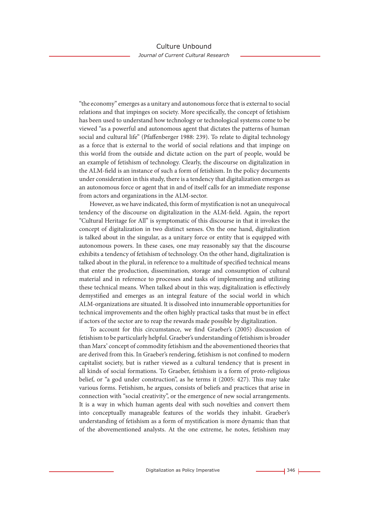"the economy" emerges as a unitary and autonomous force that is external to social relations and that impinges on society. More specifically, the concept of fetishism has been used to understand how technology or technological systems come to be viewed "as a powerful and autonomous agent that dictates the patterns of human social and cultural life" (Pfaffenberger 1988: 239). To relate to digital technology as a force that is external to the world of social relations and that impinge on this world from the outside and dictate action on the part of people, would be an example of fetishism of technology. Clearly, the discourse on digitalization in the ALM-field is an instance of such a form of fetishism. In the policy documents under consideration in this study, there is a tendency that digitalization emerges as an autonomous force or agent that in and of itself calls for an immediate response from actors and organizations in the ALM-sector.

However, as we have indicated, this form of mystification is not an unequivocal tendency of the discourse on digitalization in the ALM-field. Again, the report "Cultural Heritage for All" is symptomatic of this discourse in that it invokes the concept of digitalization in two distinct senses. On the one hand, digitalization is talked about in the singular, as a unitary force or entity that is equipped with autonomous powers. In these cases, one may reasonably say that the discourse exhibits a tendency of fetishism of technology. On the other hand, digitalization is talked about in the plural, in reference to a multitude of specified technical means that enter the production, dissemination, storage and consumption of cultural material and in reference to processes and tasks of implementing and utilizing these technical means. When talked about in this way, digitalization is effectively demystified and emerges as an integral feature of the social world in which ALM-organizations are situated. It is dissolved into innumerable opportunities for technical improvements and the often highly practical tasks that must be in effect if actors of the sector are to reap the rewards made possible by digitalization.

To account for this circumstance, we find Graeber's (2005) discussion of fetishism to be particularly helpful. Graeber's understanding of fetishism is broader than Marx' concept of commodity fetishism and the abovementioned theories that are derived from this. In Graeber's rendering, fetishism is not confined to modern capitalist society, but is rather viewed as a cultural tendency that is present in all kinds of social formations. To Graeber, fetishism is a form of proto-religious belief, or "a god under construction", as he terms it (2005: 427). This may take various forms. Fetishism, he argues, consists of beliefs and practices that arise in connection with "social creativity", or the emergence of new social arrangements. It is a way in which human agents deal with such novelties and convert them into conceptually manageable features of the worlds they inhabit. Graeber's understanding of fetishism as a form of mystification is more dynamic than that of the abovementioned analysts. At the one extreme, he notes, fetishism may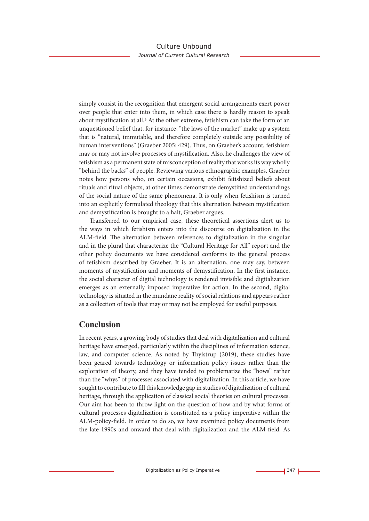simply consist in the recognition that emergent social arrangements exert power over people that enter into them, in which case there is hardly reason to speak about mystification at all.<sup>5</sup> At the other extreme, fetishism can take the form of an unquestioned belief that, for instance, "the laws of the market" make up a system that is "natural, immutable, and therefore completely outside any possibility of human interventions" (Graeber 2005: 429). Thus, on Graeber's account, fetishism may or may not involve processes of mystification. Also, he challenges the view of fetishism as a permanent state of misconception of reality that works its way wholly "behind the backs" of people. Reviewing various ethnographic examples, Graeber notes how persons who, on certain occasions, exhibit fetishized beliefs about rituals and ritual objects, at other times demonstrate demystified understandings of the social nature of the same phenomena. It is only when fetishism is turned into an explicitly formulated theology that this alternation between mystification and demystification is brought to a halt, Graeber argues.

Transferred to our empirical case, these theoretical assertions alert us to the ways in which fetishism enters into the discourse on digitalization in the ALM-field. The alternation between references to digitalization in the singular and in the plural that characterize the "Cultural Heritage for All" report and the other policy documents we have considered conforms to the general process of fetishism described by Graeber. It is an alternation, one may say, between moments of mystification and moments of demystification. In the first instance, the social character of digital technology is rendered invisible and digitalization emerges as an externally imposed imperative for action. In the second, digital technology is situated in the mundane reality of social relations and appears rather as a collection of tools that may or may not be employed for useful purposes.

# **Conclusion**

In recent years, a growing body of studies that deal with digitalization and cultural heritage have emerged, particularly within the disciplines of information science, law, and computer science. As noted by Thylstrup (2019), these studies have been geared towards technology or information policy issues rather than the exploration of theory, and they have tended to problematize the "hows" rather than the "whys" of processes associated with digitalization. In this article, we have sought to contribute to fill this knowledge gap in studies of digitalization of cultural heritage, through the application of classical social theories on cultural processes. Our aim has been to throw light on the question of how and by what forms of cultural processes digitalization is constituted as a policy imperative within the ALM-policy-field. In order to do so, we have examined policy documents from the late 1990s and onward that deal with digitalization and the ALM-field. As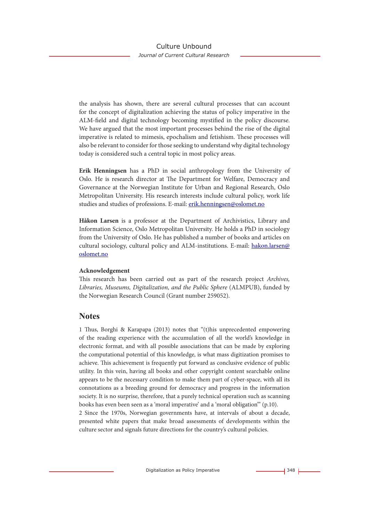the analysis has shown, there are several cultural processes that can account for the concept of digitalization achieving the status of policy imperative in the ALM-field and digital technology becoming mystified in the policy discourse. We have argued that the most important processes behind the rise of the digital imperative is related to mimesis, epochalism and fetishism. These processes will also be relevant to consider for those seeking to understand why digital technology today is considered such a central topic in most policy areas.

**Erik Henningsen** has a PhD in social anthropology from the University of Oslo. He is research director at The Department for Welfare, Democracy and Governance at the Norwegian Institute for Urban and Regional Research, Oslo Metropolitan University. His research interests include cultural policy, work life studies and studies of professions. E-mail: erik.henningsen@oslomet.no

**Håkon Larsen** is a professor at the Department of Archivistics, Library and Information Science, Oslo Metropolitan University. He holds a PhD in sociology from the University of Oslo. He has published a number of books and articles on cultural sociology, cultural policy and ALM-institutions. E-mail: hakon.larsen@ oslomet.no

#### **Acknowledgement**

This research has been carried out as part of the research project *Archives, Libraries, Museums, Digitalization, and the Public Sphere* (ALMPUB), funded by the Norwegian Research Council (Grant number 259052).

### **Notes**

1 Thus, Borghi & Karapapa (2013) notes that "(t)his unprecedented empowering of the reading experience with the accumulation of all the world's knowledge in electronic format, and with all possible associations that can be made by exploring the computational potential of this knowledge, is what mass digitization promises to achieve. This achievement is frequently put forward as conclusive evidence of public utility. In this vein, having all books and other copyright content searchable online appears to be the necessary condition to make them part of cyber-space, with all its connotations as a breeding ground for democracy and progress in the information society. It is no surprise, therefore, that a purely technical operation such as scanning books has even been seen as a 'moral imperative' and a 'moral obligation'" (p.10). 2 Since the 1970s, Norwegian governments have, at intervals of about a decade, presented white papers that make broad assessments of developments within the culture sector and signals future directions for the country's cultural policies.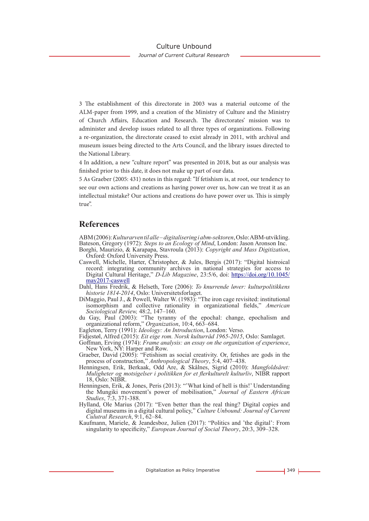*Journal of Current Cultural Research*

3 The establishment of this directorate in 2003 was a material outcome of the ALM-paper from 1999, and a creation of the Ministry of Culture and the Ministry of Church Affairs, Education and Research. The directorates' mission was to administer and develop issues related to all three types of organizations. Following a re-organization, the directorate ceased to exist already in 2011, with archival and museum issues being directed to the Arts Council, and the library issues directed to the National Library.

4 In addition, a new "culture report" was presented in 2018, but as our analysis was finished prior to this date, it does not make up part of our data.

5 As Graeber (2005: 431) notes in this regard: "If fetishism is, at root, our tendency to see our own actions and creations as having power over us, how can we treat it as an intellectual mistake? Our actions and creations do have power over us. This is simply true".

### **References**

ABM (2006): *Kulturarven til alle – digitalisering i abm-sektoren*, Oslo: ABM-utvikling. Bateson, Gregory (1972): *Steps to an Ecology of Mind*, London: Jason Aronson Inc. Borghi, Maurizio, & Karapapa, Stavroula (2013): *Copyright and Mass Digitization*, Oxford: Oxford University Press.

- Caswell, Michelle, Harter, Christopher, & Jules, Bergis (2017): "Digital histroical record: integrating community archives in national strategies for access to Digital Cultural Heritage," *D-Lib Magazine*, 23:5/6, doi: https://doi.org/10.1045/ may2017-caswell
- Dahl, Hans Fredrik, & Helseth, Tore (2006): *To knurrende løver: kulturpolitikkens historie 1814-2014*, Oslo: Universitetsforlaget.
- DiMaggio, Paul J., & Powell, Walter W. (1983): "The iron cage revisited: institutional isomorphism and collective rationality in organizational fields," *American Sociological Review,* 48:2, 147–160.
- du Gay, Paul (2003): "The tyranny of the epochal: change, epochalism and organizational reform," *Organization*, 10:4, 663–684.
- Eagleton, Terry (1991): *Ideology: An Introduction*, London: Verso.
- Fidjestøl, Alfred (2015): *Eit eige rom. Norsk kulturråd 1965-2015*, Oslo: Samlaget.
- Goffman, Erving (1974): *Frame analysis: an essay on the organization of experience*, New York, NY: Harper and Row.
- Graeber, David (2005): "Fetishism as social creativity. Or, fetishes are gods in the process of construction," *Anthropological Theory*, 5:4, 407–438.
- Henningsen, Erik, Berkaak, Odd Are, & Skålnes, Sigrid (2010): *Mangfoldsåret: Muligheter og motsigelser i politikken for et flerkulturelt kulturliv*, NIBR rapport 18, Oslo: NIBR.
- Henningsen, Erik, & Jones, Peris (2013): "'What kind of hell is this!' Understanding the Mungiki movement's power of mobilisation," *Journal of Eastern African Studies*, 7:3, 371-388.
- Hylland, Ole Marius (2017): "Even better than the real thing? Digital copies and digital museums in a digital cultural policy," *Culture Unbound: Journal of Current Culutral Research*, 9:1, 62–84.
- Kaufmann, Mariele, & Jeandesboz, Julien (2017): "Politics and 'the digital': From singularity to specificity," *European Journal of Social Theory*, 20:3, 309–328.

Digitalization as Policy Imperative **349** L